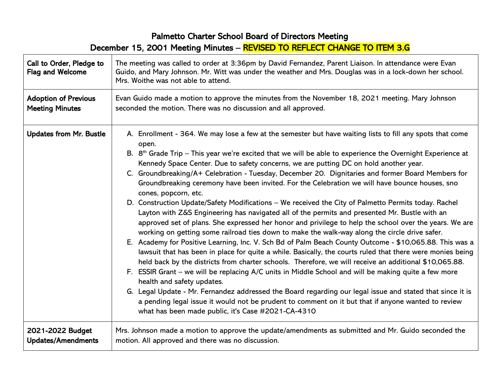## Palmetto Charter School Board of Directors Meeting

December 15, 2001 Meeting Minutes – REVISED TO REFLECT CHANGE TO ITEM 3.G

| Call to Order, Pledge to<br><b>Flag and Welcome</b> | The meeting was called to order at 3:36pm by David Fernandez, Parent Liaison. In attendance were Evan<br>Guido, and Mary Johnson. Mr. Witt was under the weather and Mrs. Douglas was in a lock-down her school.<br>Mrs. Woithe was not able to attend.                                                                                                                                                                                                                                                                                                                                                                                                                                                                                                                                                                                                                                                                                                                                                                                                                                                                                                                                                                                                                                                                                                                                                                                                                                                                                                                                                                                                                                                                          |
|-----------------------------------------------------|----------------------------------------------------------------------------------------------------------------------------------------------------------------------------------------------------------------------------------------------------------------------------------------------------------------------------------------------------------------------------------------------------------------------------------------------------------------------------------------------------------------------------------------------------------------------------------------------------------------------------------------------------------------------------------------------------------------------------------------------------------------------------------------------------------------------------------------------------------------------------------------------------------------------------------------------------------------------------------------------------------------------------------------------------------------------------------------------------------------------------------------------------------------------------------------------------------------------------------------------------------------------------------------------------------------------------------------------------------------------------------------------------------------------------------------------------------------------------------------------------------------------------------------------------------------------------------------------------------------------------------------------------------------------------------------------------------------------------------|
| <b>Adoption of Previous</b>                         | Evan Guido made a motion to approve the minutes from the November 18, 2021 meeting. Mary Johnson                                                                                                                                                                                                                                                                                                                                                                                                                                                                                                                                                                                                                                                                                                                                                                                                                                                                                                                                                                                                                                                                                                                                                                                                                                                                                                                                                                                                                                                                                                                                                                                                                                 |
| <b>Meeting Minutes</b>                              | seconded the motion. There was no discussion and all approved.                                                                                                                                                                                                                                                                                                                                                                                                                                                                                                                                                                                                                                                                                                                                                                                                                                                                                                                                                                                                                                                                                                                                                                                                                                                                                                                                                                                                                                                                                                                                                                                                                                                                   |
| <b>Updates from Mr. Bustle</b>                      | A. Enrollment - 364. We may lose a few at the semester but have waiting lists to fill any spots that come<br>open.<br>B. $8th$ Grade Trip – This year we're excited that we will be able to experience the Overnight Experience at<br>Kennedy Space Center. Due to safety concerns, we are putting DC on hold another year.<br>C. Groundbreaking/A+ Celebration - Tuesday, December 20. Dignitaries and former Board Members for<br>Groundbreaking ceremony have been invited. For the Celebration we will have bounce houses, sno<br>cones, popcorn, etc.<br>D. Construction Update/Safety Modifications - We received the City of Palmetto Permits today. Rachel<br>Layton with Z&S Engineering has navigated all of the permits and presented Mr. Bustle with an<br>approved set of plans. She expressed her honor and privilege to help the school over the years. We are<br>working on getting some railroad ties down to make the walk-way along the circle drive safer.<br>E. Academy for Positive Learning, Inc. V. Sch Bd of Palm Beach County Outcome - \$10,065.88. This was a<br>lawsuit that has been in place for quite a while. Basically, the courts ruled that there were monies being<br>held back by the districts from charter schools. Therefore, we will receive an additional \$10,065.88.<br>F. ESSIR Grant - we will be replacing A/C units in Middle School and will be making quite a few more<br>health and safety updates.<br>G. Legal Update - Mr. Fernandez addressed the Board regarding our legal issue and stated that since it is<br>a pending legal issue it would not be prudent to comment on it but that if anyone wanted to review<br>what has been made public, it's Case #2021-CA-4310 |
| 2021-2022 Budget                                    | Mrs. Johnson made a motion to approve the update/amendments as submitted and Mr. Guido seconded the                                                                                                                                                                                                                                                                                                                                                                                                                                                                                                                                                                                                                                                                                                                                                                                                                                                                                                                                                                                                                                                                                                                                                                                                                                                                                                                                                                                                                                                                                                                                                                                                                              |
| <b>Updates/Amendments</b>                           | motion. All approved and there was no discussion.                                                                                                                                                                                                                                                                                                                                                                                                                                                                                                                                                                                                                                                                                                                                                                                                                                                                                                                                                                                                                                                                                                                                                                                                                                                                                                                                                                                                                                                                                                                                                                                                                                                                                |